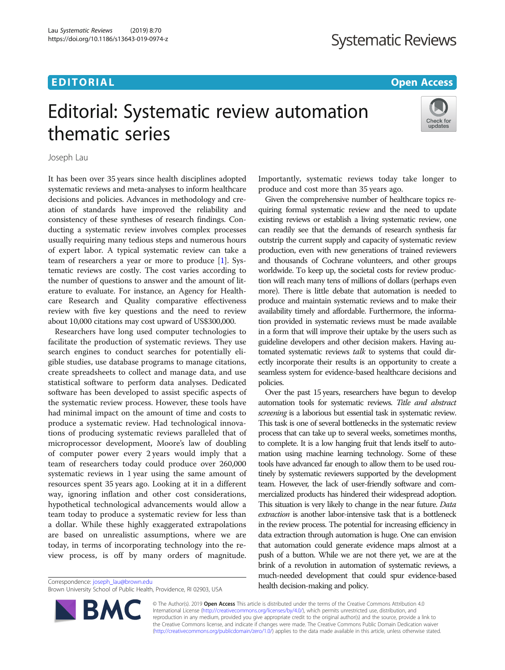## EDITORIAL AND INTERNATIONAL CONTRACT CONTRACT CONTRACT CONTRACT CONTRACT CONTRACT CONTRACT CONTRACT CONTRACT CO

# Editorial: Systematic review automation thematic series



Joseph Lau

It has been over 35 years since health disciplines adopted systematic reviews and meta-analyses to inform healthcare decisions and policies. Advances in methodology and creation of standards have improved the reliability and consistency of these syntheses of research findings. Conducting a systematic review involves complex processes usually requiring many tedious steps and numerous hours of expert labor. A typical systematic review can take a team of researchers a year or more to produce [\[1\]](#page-1-0). Systematic reviews are costly. The cost varies according to the number of questions to answer and the amount of literature to evaluate. For instance, an Agency for Healthcare Research and Quality comparative effectiveness review with five key questions and the need to review about 10,000 citations may cost upward of US\$300,000.

Researchers have long used computer technologies to facilitate the production of systematic reviews. They use search engines to conduct searches for potentially eligible studies, use database programs to manage citations, create spreadsheets to collect and manage data, and use statistical software to perform data analyses. Dedicated software has been developed to assist specific aspects of the systematic review process. However, these tools have had minimal impact on the amount of time and costs to produce a systematic review. Had technological innovations of producing systematic reviews paralleled that of microprocessor development, Moore's law of doubling of computer power every 2 years would imply that a team of researchers today could produce over 260,000 systematic reviews in 1 year using the same amount of resources spent 35 years ago. Looking at it in a different way, ignoring inflation and other cost considerations, hypothetical technological advancements would allow a team today to produce a systematic review for less than a dollar. While these highly exaggerated extrapolations are based on unrealistic assumptions, where we are today, in terms of incorporating technology into the review process, is off by many orders of magnitude.

Brown University School of Public Health, Providence, RI 02903, USA

**BM** 

Importantly, systematic reviews today take longer to produce and cost more than 35 years ago.

Given the comprehensive number of healthcare topics requiring formal systematic review and the need to update existing reviews or establish a living systematic review, one can readily see that the demands of research synthesis far outstrip the current supply and capacity of systematic review production, even with new generations of trained reviewers and thousands of Cochrane volunteers, and other groups worldwide. To keep up, the societal costs for review production will reach many tens of millions of dollars (perhaps even more). There is little debate that automation is needed to produce and maintain systematic reviews and to make their availability timely and affordable. Furthermore, the information provided in systematic reviews must be made available in a form that will improve their uptake by the users such as guideline developers and other decision makers. Having automated systematic reviews talk to systems that could directly incorporate their results is an opportunity to create a seamless system for evidence-based healthcare decisions and policies.

Over the past 15 years, researchers have begun to develop automation tools for systematic reviews. Title and abstract screening is a laborious but essential task in systematic review. This task is one of several bottlenecks in the systematic review process that can take up to several weeks, sometimes months, to complete. It is a low hanging fruit that lends itself to automation using machine learning technology. Some of these tools have advanced far enough to allow them to be used routinely by systematic reviewers supported by the development team. However, the lack of user-friendly software and commercialized products has hindered their widespread adoption. This situation is very likely to change in the near future. Data extraction is another labor-intensive task that is a bottleneck in the review process. The potential for increasing efficiency in data extraction through automation is huge. One can envision that automation could generate evidence maps almost at a push of a button. While we are not there yet, we are at the brink of a revolution in automation of systematic reviews, a much-needed development that could spur evidence-based Correspondence: [joseph\\_lau@brown.edu](mailto:joseph_lau@brown.edu)<br>
Realth decision-making and policy.

> © The Author(s). 2019 Open Access This article is distributed under the terms of the Creative Commons Attribution 4.0 International License [\(http://creativecommons.org/licenses/by/4.0/](http://creativecommons.org/licenses/by/4.0/)), which permits unrestricted use, distribution, and reproduction in any medium, provided you give appropriate credit to the original author(s) and the source, provide a link to the Creative Commons license, and indicate if changes were made. The Creative Commons Public Domain Dedication waiver [\(http://creativecommons.org/publicdomain/zero/1.0/](http://creativecommons.org/publicdomain/zero/1.0/)) applies to the data made available in this article, unless otherwise stated.